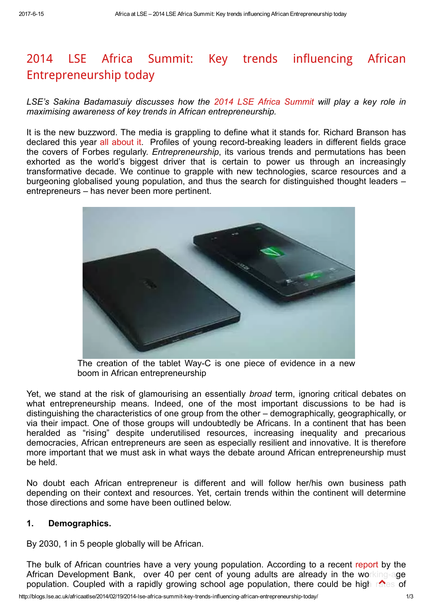# 2014 LSE Africa Summit: Key trends influencing African [Entrepreneurship](http://blogs.lse.ac.uk/africaatlse/2014/02/19/2014-lse-africa-summit-key-trends-influencing-african-entrepreneurship-today/) today

LSE's Sakina Badamasuiy discusses how the 2014 LSE Africa [Summit](http://lseafricasummit.com/) will play a key role in maximising awareness of key trends in African entrepreneurship.

It is the new buzzword. The media is grappling to define what it stands for. Richard Branson has declared this year all [about](http://www.linkedin.com/today/post/article/20131211143548-204068115-big-ideas-2014-the-year-of-the-entrepreneur) it. Profiles of young record-breaking leaders in different fields grace the covers of Forbes regularly. Entrepreneurship, its various trends and permutations has been exhorted as the world's biggest driver that is certain to power us through an increasingly transformative decade. We continue to grapple with new technologies, scarce resources and a burgeoning globalised young population, and thus the search for distinguished thought leaders – entrepreneurs – has never been more pertinent.



The creation of the tablet Way-C is one piece of evidence in a new boom in African entrepreneurship

Yet, we stand at the risk of glamourising an essentially *broad* term, ignoring critical debates on what entrepreneurship means. Indeed, one of the most important discussions to be had is distinguishing the characteristics of one group from the other – demographically, geographically, or via their impact. One of those groups will undoubtedly be Africans. In a continent that has been heralded as "rising" despite underutilised resources, increasing inequality and precarious democracies, African entrepreneurs are seen as especially resilient and innovative. It is therefore more important that we must ask in what ways the debate around African entrepreneurship must be held.

No doubt each African entrepreneur is different and will follow her/his own business path depending on their context and resources. Yet, certain trends within the continent will determine those directions and some have been outlined below.

#### 1. Demographics.

By 2030, 1 in 5 people globally will be African.

The bulk of African countries have a very young population. According to a recent [report](http://www.afdb.org/fileadmin/uploads/afdb/Documents/Policy-Documents/FINAL%20Briefing%20Note%204%20Africas%20Demographic%20Trends.pdf) by the African Development Bank, over 40 per cent of young adults are already in the working-age population. Coupled with a rapidly growing school age population, there could be high rates of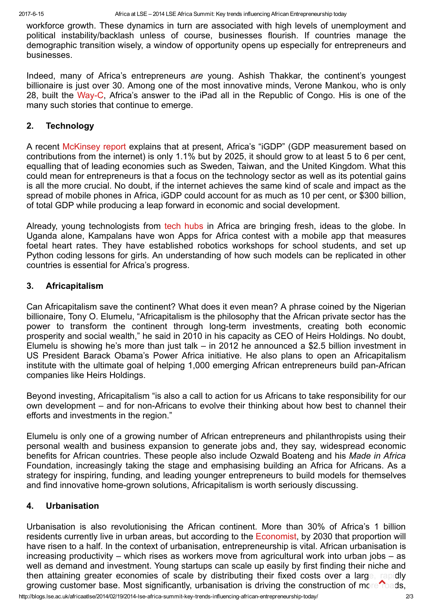workforce growth. These dynamics in turn are associated with high levels of unemployment and political instability/backlash unless of course, businesses flourish. If countries manage the demographic transition wisely, a window of opportunity opens up especially for entrepreneurs and businesses.

Indeed, many of Africa's entrepreneurs are young. Ashish Thakkar, the continent's youngest billionaire is just over 30. Among one of the most innovative minds, Verone Mankou, who is only 28, built the Way-C. Africa's answer to the iPad all in the Republic of Congo. His is one of the many such stories that continue to emerge.

## 2. Technology

A recent [McKinsey](http://www.mckinsey.com/insights/high_tech_telecoms_internet/lions_go_digital_the_internets_transformative_potential_in_africa) report explains that at present, Africa's "iGDP" (GDP measurement based on contributions from the internet) is only 1.1% but by 2025, it should grow to at least 5 to 6 per cent, equalling that of leading economies such as Sweden, Taiwan, and the United Kingdom. What this could mean for entrepreneurs is that a focus on the technology sector as well as its potential gains is all the more crucial. No doubt, if the internet achieves the same kind of scale and impact as the spread of mobile phones in Africa, iGDP could account for as much as 10 per cent, or \$300 billion, of total GDP while producing a leap forward in economic and social development.

Already, young technologists from tech [hubs](http://www.bbc.co.uk/news/business-18878585) in Africa are bringing fresh, ideas to the globe. In Uganda alone, Kampalans have won Apps for Africa contest with a mobile app that measures foetal heart rates. They have established robotics workshops for school students, and set up Python coding lessons for girls. An understanding of how such models can be replicated in other countries is essential for Africa's progress.

## 3. Africapitalism

Can Africapitalism save the continent? What does it even mean? A phrase coined by the Nigerian billionaire, Tony O. Elumelu, "Africapitalism is the philosophy that the African private sector has the power to transform the continent through long-term investments, creating both economic prosperity and social wealth," he said in 2010 in his capacity as CEO of Heirs Holdings. No doubt, Elumelu is showing he's more than just talk – in 2012 he announced a \$2.5 billion investment in US President Barack Obama's Power Africa initiative. He also plans to open an Africapitalism institute with the ultimate goal of helping 1,000 emerging African entrepreneurs build pan-African companies like Heirs Holdings.

Beyond investing, Africapitalism "is also a call to action for us Africans to take responsibility for our own development – and for non-Africans to evolve their thinking about how best to channel their efforts and investments in the region."

Elumelu is only one of a growing number of African entrepreneurs and philanthropists using their personal wealth and business expansion to generate jobs and, they say, widespread economic benefits for African countries. These people also include Ozwald Boateng and his Made in Africa Foundation, increasingly taking the stage and emphasising building an Africa for Africans. As a strategy for inspiring, funding, and leading younger entrepreneurs to build models for themselves and find innovative home-grown solutions, Africapitalism is worth seriously discussing.

## 4. Urbanisation

Urbanisation is also revolutionising the African continent. More than 30% of Africa's 1 billion residents currently live in urban areas, but according to the [Economist](http://www.economist.com/blogs/dailychart/2010/12/urbanisation_africa), by 2030 that proportion will have risen to a half. In the context of urbanisation, entrepreneurship is vital. African urbanisation is increasing productivity – which rises as workers move from agricultural work into urban jobs – as well as demand and investment. Young startups can scale up easily by first finding their niche and then attaining greater economies of scale by distributing their fixed costs over a large, rapidly growing customer base. Most significantly, urbanisation is driving the construction of more roads,